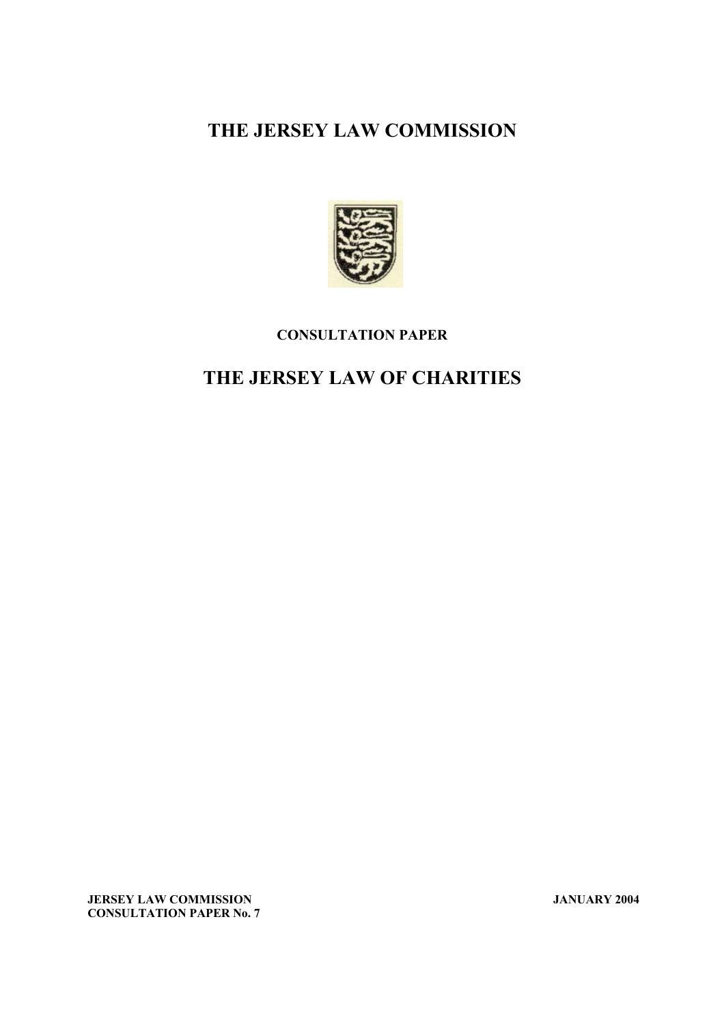## **THE JERSEY LAW COMMISSION**



### **CONSULTATION PAPER**

# **THE JERSEY LAW OF CHARITIES**

**JERSEY LAW COMMISSION JANUARY 2004 CONSULTATION PAPER No. 7**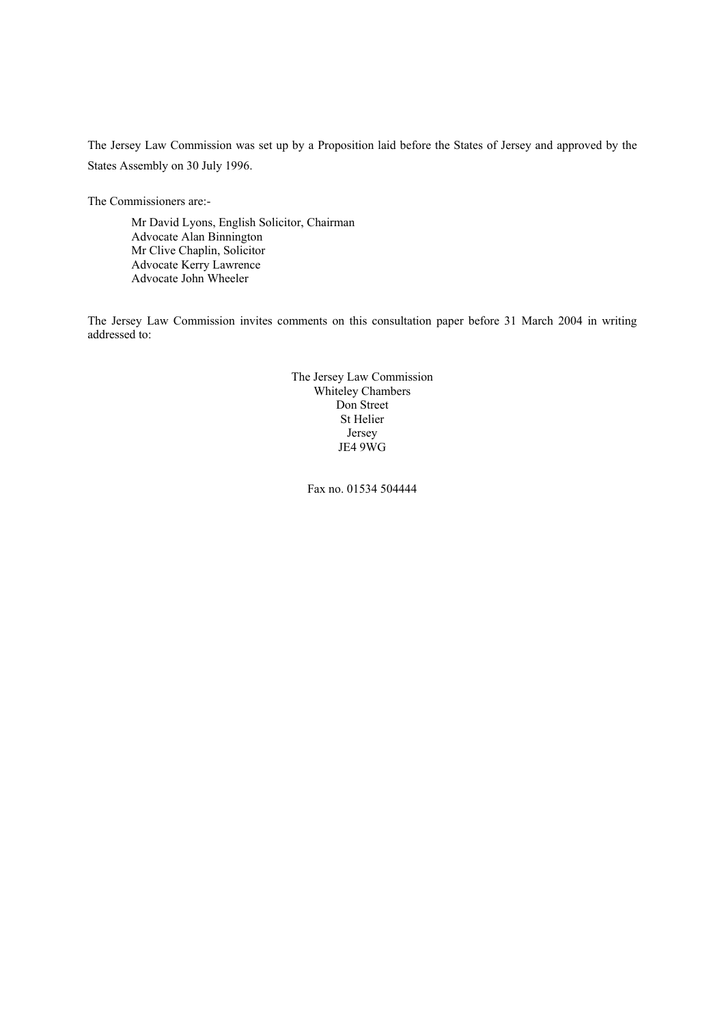The Jersey Law Commission was set up by a Proposition laid before the States of Jersey and approved by the States Assembly on 30 July 1996.

The Commissioners are:-

Mr David Lyons, English Solicitor, Chairman Advocate Alan Binnington Mr Clive Chaplin, Solicitor Advocate Kerry Lawrence Advocate John Wheeler

The Jersey Law Commission invites comments on this consultation paper before 31 March 2004 in writing addressed to:

> The Jersey Law Commission Whiteley Chambers Don Street St Helier Jersey JE4 9WG

> > Fax no. 01534 504444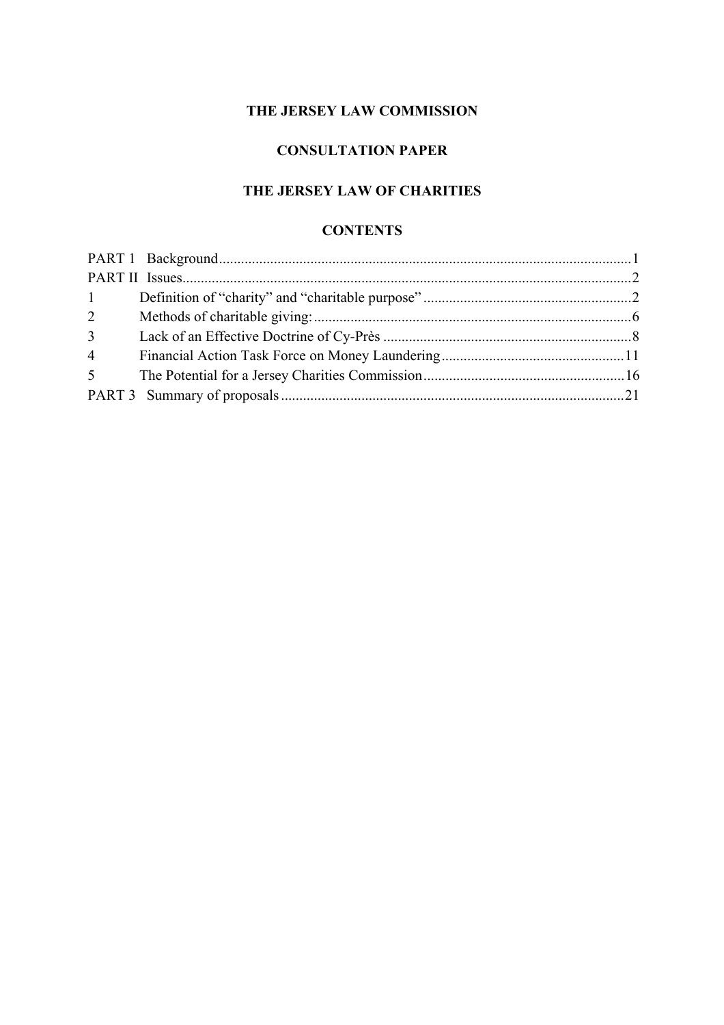### **THE JERSEY LAW COMMISSION**

## **CONSULTATION PAPER**

## **THE JERSEY LAW OF CHARITIES**

### **CONTENTS**

| $1 \qquad \qquad$ |  |
|-------------------|--|
| $\overline{2}$    |  |
| 3 <sup>1</sup>    |  |
| $\overline{4}$    |  |
| 5 <sup>5</sup>    |  |
|                   |  |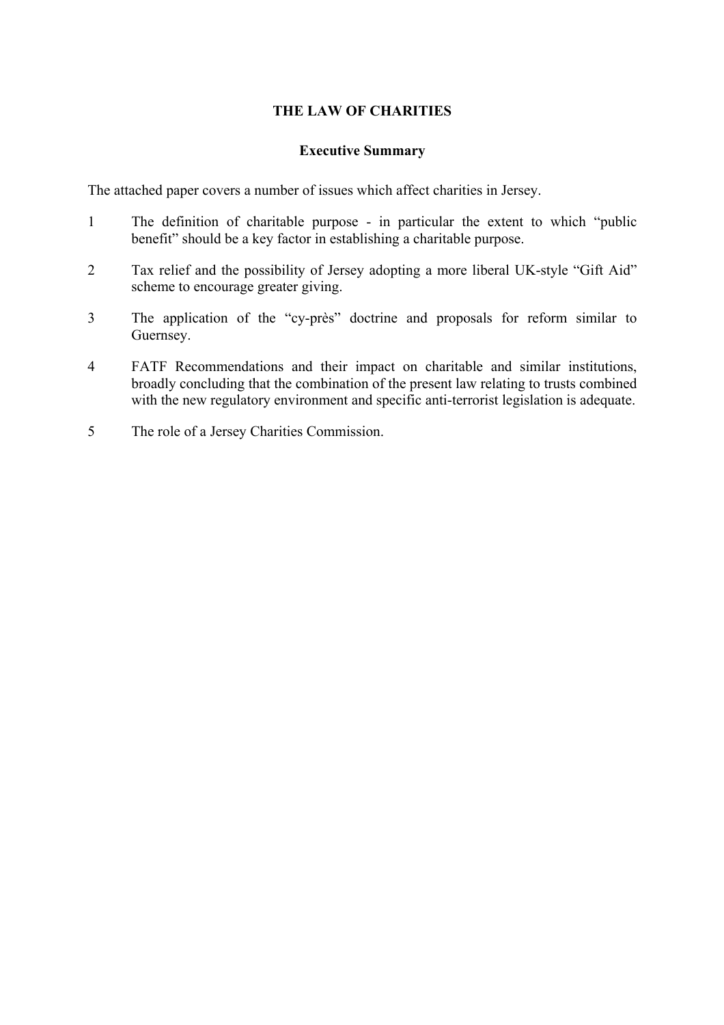### **THE LAW OF CHARITIES**

### **Executive Summary**

The attached paper covers a number of issues which affect charities in Jersey.

- 1 The definition of charitable purpose in particular the extent to which "public benefit" should be a key factor in establishing a charitable purpose.
- 2 Tax relief and the possibility of Jersey adopting a more liberal UK-style "Gift Aid" scheme to encourage greater giving.
- 3 The application of the "cy-près" doctrine and proposals for reform similar to Guernsey.
- 4 FATF Recommendations and their impact on charitable and similar institutions, broadly concluding that the combination of the present law relating to trusts combined with the new regulatory environment and specific anti-terrorist legislation is adequate.
- 5 The role of a Jersey Charities Commission.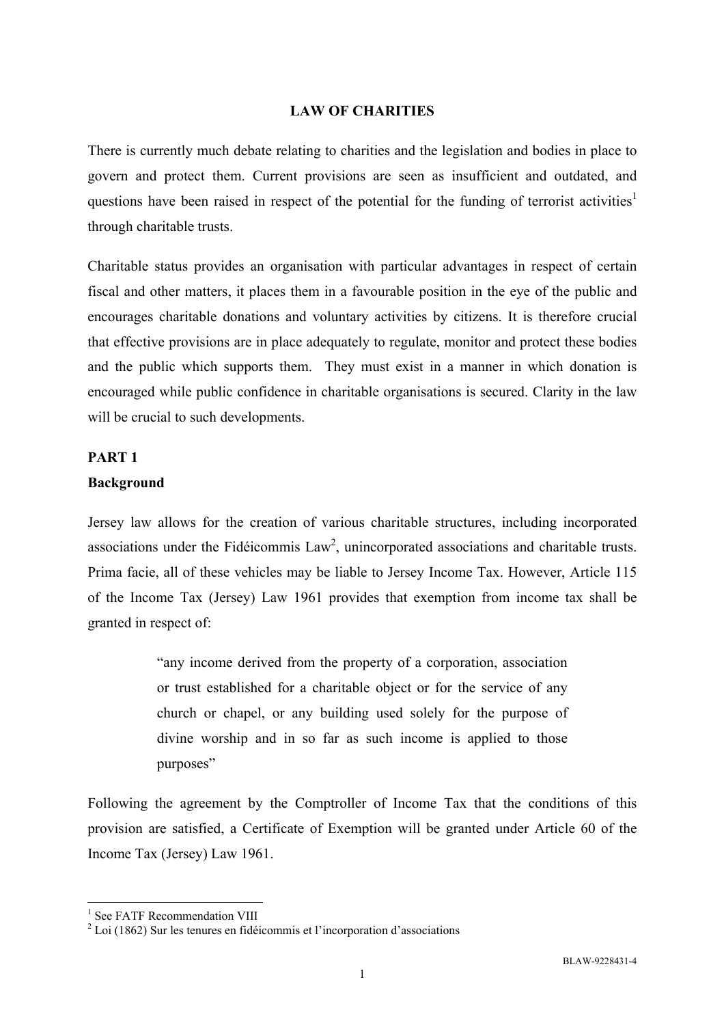### **LAW OF CHARITIES**

There is currently much debate relating to charities and the legislation and bodies in place to govern and protect them. Current provisions are seen as insufficient and outdated, and questions have been raised in respect of the potential for the funding of terrorist activities<sup>1</sup> through charitable trusts.

Charitable status provides an organisation with particular advantages in respect of certain fiscal and other matters, it places them in a favourable position in the eye of the public and encourages charitable donations and voluntary activities by citizens. It is therefore crucial that effective provisions are in place adequately to regulate, monitor and protect these bodies and the public which supports them. They must exist in a manner in which donation is encouraged while public confidence in charitable organisations is secured. Clarity in the law will be crucial to such developments.

#### **PART 1**

#### **Background**

Jersey law allows for the creation of various charitable structures, including incorporated associations under the Fidéicommis Law<sup>2</sup>, unincorporated associations and charitable trusts. Prima facie, all of these vehicles may be liable to Jersey Income Tax. However, Article 115 of the Income Tax (Jersey) Law 1961 provides that exemption from income tax shall be granted in respect of:

> "any income derived from the property of a corporation, association or trust established for a charitable object or for the service of any church or chapel, or any building used solely for the purpose of divine worship and in so far as such income is applied to those purposes"

Following the agreement by the Comptroller of Income Tax that the conditions of this provision are satisfied, a Certificate of Exemption will be granted under Article 60 of the Income Tax (Jersey) Law 1961.

<sup>&</sup>lt;sup>1</sup> See FATF Recommendation VIII

 $2^2$  Loi (1862) Sur les tenures en fidéicommis et l'incorporation d'associations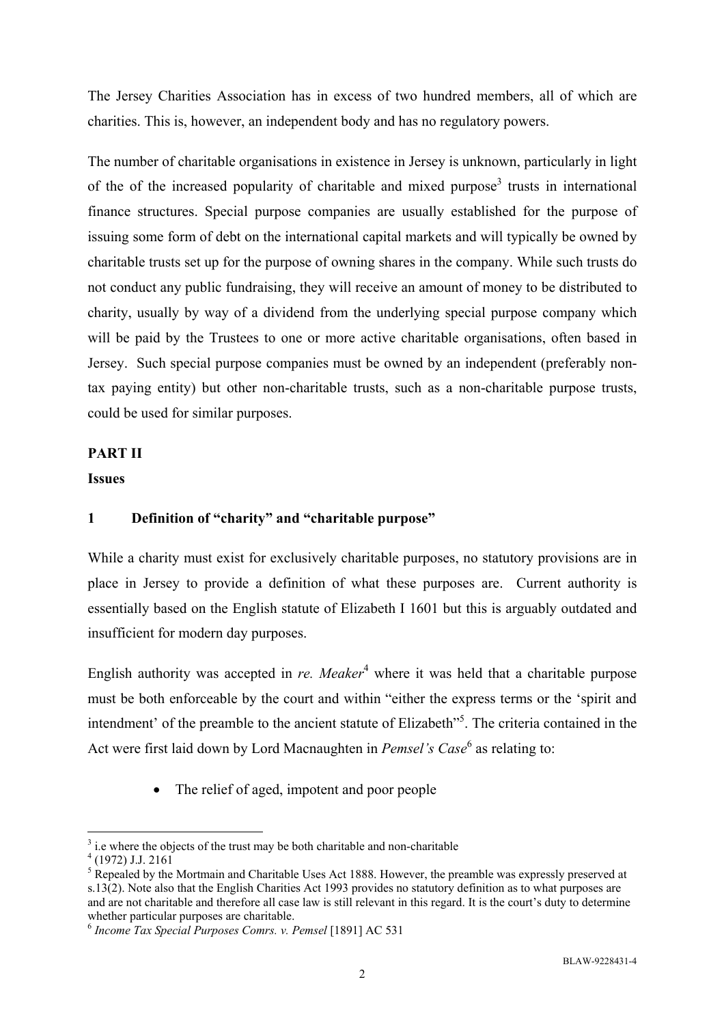The Jersey Charities Association has in excess of two hundred members, all of which are charities. This is, however, an independent body and has no regulatory powers.

The number of charitable organisations in existence in Jersey is unknown, particularly in light of the of the increased popularity of charitable and mixed purpose<sup>3</sup> trusts in international finance structures. Special purpose companies are usually established for the purpose of issuing some form of debt on the international capital markets and will typically be owned by charitable trusts set up for the purpose of owning shares in the company. While such trusts do not conduct any public fundraising, they will receive an amount of money to be distributed to charity, usually by way of a dividend from the underlying special purpose company which will be paid by the Trustees to one or more active charitable organisations, often based in Jersey. Such special purpose companies must be owned by an independent (preferably nontax paying entity) but other non-charitable trusts, such as a non-charitable purpose trusts, could be used for similar purposes.

### **PART II**

#### **Issues**

### **1 Definition of "charity" and "charitable purpose"**

While a charity must exist for exclusively charitable purposes, no statutory provisions are in place in Jersey to provide a definition of what these purposes are. Current authority is essentially based on the English statute of Elizabeth I 1601 but this is arguably outdated and insufficient for modern day purposes.

English authority was accepted in *re. Meaker*<sup>4</sup> where it was held that a charitable purpose must be both enforceable by the court and within "either the express terms or the 'spirit and intendment' of the preamble to the ancient statute of Elizabeth<sup>15</sup>. The criteria contained in the Act were first laid down by Lord Macnaughten in *Pemsel's Case*<sup>6</sup> as relating to:

• The relief of aged, impotent and poor people

 $\frac{3}{4}$  i.e where the objects of the trust may be both charitable and non-charitable  $\frac{4}{4}$  (1972) L 2161

 $^{4}$  (1972) J.J. 2161

 $<sup>5</sup>$  Repealed by the Mortmain and Charitable Uses Act 1888. However, the preamble was expressly preserved at</sup> s.13(2). Note also that the English Charities Act 1993 provides no statutory definition as to what purposes are and are not charitable and therefore all case law is still relevant in this regard. It is the court's duty to determine whether particular purposes are charitable.

<sup>6</sup> *Income Tax Special Purposes Comrs. v. Pemsel* [1891] AC 531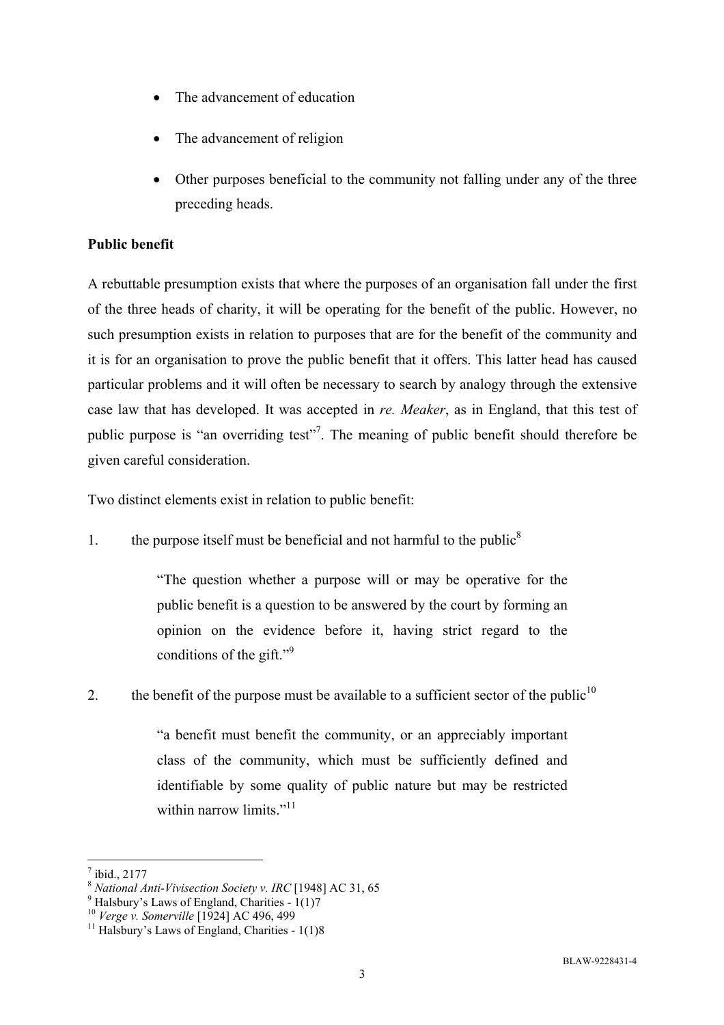- The advancement of education
- The advancement of religion
- Other purposes beneficial to the community not falling under any of the three preceding heads.

### **Public benefit**

A rebuttable presumption exists that where the purposes of an organisation fall under the first of the three heads of charity, it will be operating for the benefit of the public. However, no such presumption exists in relation to purposes that are for the benefit of the community and it is for an organisation to prove the public benefit that it offers. This latter head has caused particular problems and it will often be necessary to search by analogy through the extensive case law that has developed. It was accepted in *re. Meaker*, as in England, that this test of public purpose is "an overriding test"<sup>7</sup>. The meaning of public benefit should therefore be given careful consideration.

Two distinct elements exist in relation to public benefit:

1. the purpose itself must be beneficial and not harmful to the public<sup>8</sup>

"The question whether a purpose will or may be operative for the public benefit is a question to be answered by the court by forming an opinion on the evidence before it, having strict regard to the conditions of the gift."<sup>9</sup>

2. the benefit of the purpose must be available to a sufficient sector of the public<sup>10</sup>

"a benefit must benefit the community, or an appreciably important class of the community, which must be sufficiently defined and identifiable by some quality of public nature but may be restricted within narrow limits. $11$ 

 $\overline{a}$ 7 ibid., 2177

<sup>8</sup> *National Anti-Vivisection Society v. IRC* [1948] AC 31, 65

 $^{9}$  Halsbury's Laws of England, Charities - 1(1)7

<sup>&</sup>lt;sup>10</sup> *Verge v. Somerville* [1924] AC 496, 499<sup>1</sup><br><sup>11</sup> Halsbury's Laws of England, Charities - 1(1)8<sup>1</sup>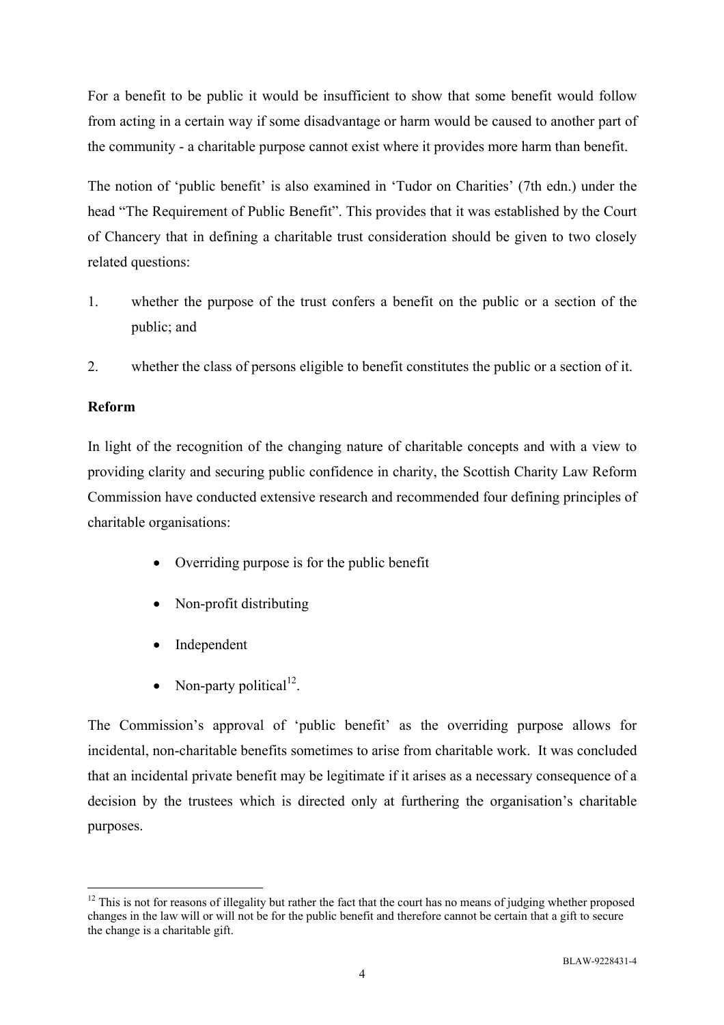For a benefit to be public it would be insufficient to show that some benefit would follow from acting in a certain way if some disadvantage or harm would be caused to another part of the community - a charitable purpose cannot exist where it provides more harm than benefit.

The notion of 'public benefit' is also examined in 'Tudor on Charities' (7th edn.) under the head "The Requirement of Public Benefit". This provides that it was established by the Court of Chancery that in defining a charitable trust consideration should be given to two closely related questions:

- 1. whether the purpose of the trust confers a benefit on the public or a section of the public; and
- 2. whether the class of persons eligible to benefit constitutes the public or a section of it.

### **Reform**

In light of the recognition of the changing nature of charitable concepts and with a view to providing clarity and securing public confidence in charity, the Scottish Charity Law Reform Commission have conducted extensive research and recommended four defining principles of charitable organisations:

- Overriding purpose is for the public benefit
- Non-profit distributing
- Independent
- Non-party political<sup>12</sup>.

The Commission's approval of 'public benefit' as the overriding purpose allows for incidental, non-charitable benefits sometimes to arise from charitable work. It was concluded that an incidental private benefit may be legitimate if it arises as a necessary consequence of a decision by the trustees which is directed only at furthering the organisation's charitable purposes.

 $\overline{a}$  $12$  This is not for reasons of illegality but rather the fact that the court has no means of judging whether proposed changes in the law will or will not be for the public benefit and therefore cannot be certain that a gift to secure the change is a charitable gift.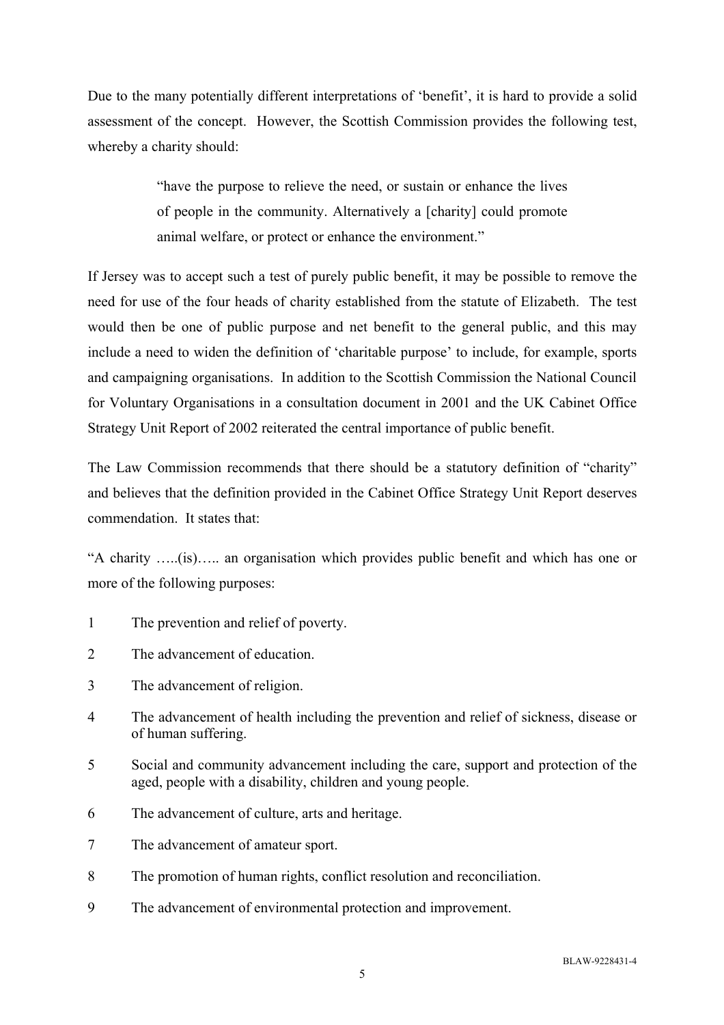Due to the many potentially different interpretations of 'benefit', it is hard to provide a solid assessment of the concept. However, the Scottish Commission provides the following test, whereby a charity should:

> "have the purpose to relieve the need, or sustain or enhance the lives of people in the community. Alternatively a [charity] could promote animal welfare, or protect or enhance the environment."

If Jersey was to accept such a test of purely public benefit, it may be possible to remove the need for use of the four heads of charity established from the statute of Elizabeth. The test would then be one of public purpose and net benefit to the general public, and this may include a need to widen the definition of 'charitable purpose' to include, for example, sports and campaigning organisations. In addition to the Scottish Commission the National Council for Voluntary Organisations in a consultation document in 2001 and the UK Cabinet Office Strategy Unit Report of 2002 reiterated the central importance of public benefit.

The Law Commission recommends that there should be a statutory definition of "charity" and believes that the definition provided in the Cabinet Office Strategy Unit Report deserves commendation. It states that:

"A charity …..(is)….. an organisation which provides public benefit and which has one or more of the following purposes:

- 1 The prevention and relief of poverty.
- 2 The advancement of education.
- 3 The advancement of religion.
- 4 The advancement of health including the prevention and relief of sickness, disease or of human suffering.
- 5 Social and community advancement including the care, support and protection of the aged, people with a disability, children and young people.
- 6 The advancement of culture, arts and heritage.
- 7 The advancement of amateur sport.
- 8 The promotion of human rights, conflict resolution and reconciliation.
- 9 The advancement of environmental protection and improvement.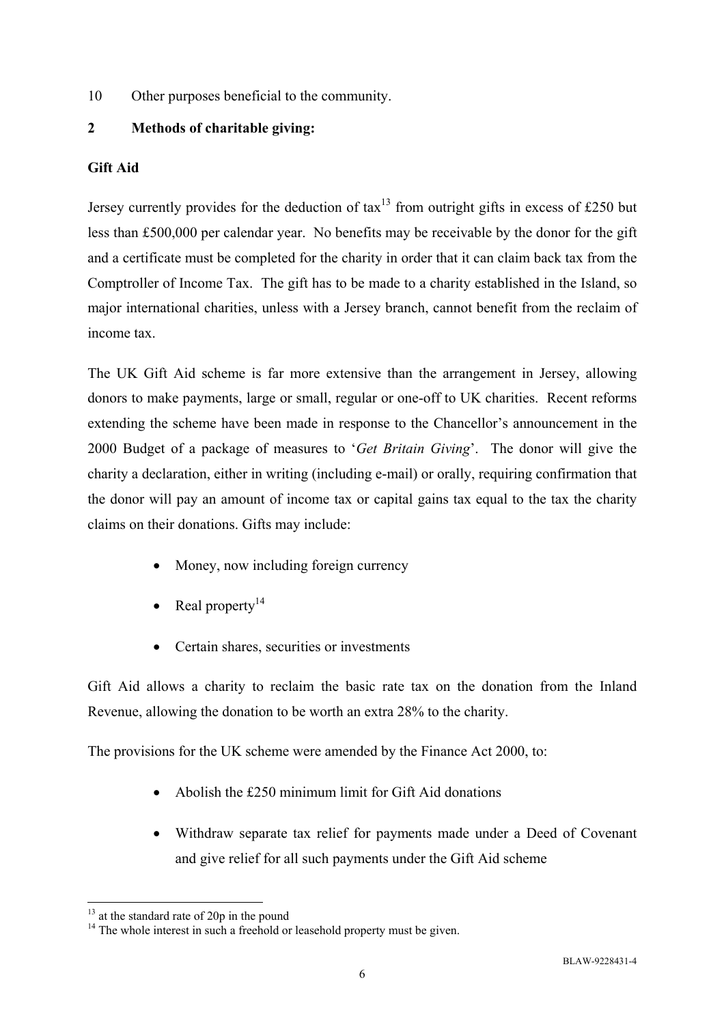10 Other purposes beneficial to the community.

### **2 Methods of charitable giving:**

### **Gift Aid**

Jersey currently provides for the deduction of  $\text{tax}^{13}$  from outright gifts in excess of £250 but less than £500,000 per calendar year. No benefits may be receivable by the donor for the gift and a certificate must be completed for the charity in order that it can claim back tax from the Comptroller of Income Tax. The gift has to be made to a charity established in the Island, so major international charities, unless with a Jersey branch, cannot benefit from the reclaim of income tax.

The UK Gift Aid scheme is far more extensive than the arrangement in Jersey, allowing donors to make payments, large or small, regular or one-off to UK charities. Recent reforms extending the scheme have been made in response to the Chancellor's announcement in the 2000 Budget of a package of measures to '*Get Britain Giving*'. The donor will give the charity a declaration, either in writing (including e-mail) or orally, requiring confirmation that the donor will pay an amount of income tax or capital gains tax equal to the tax the charity claims on their donations. Gifts may include:

- Money, now including foreign currency
- Real property $14$
- Certain shares, securities or investments

Gift Aid allows a charity to reclaim the basic rate tax on the donation from the Inland Revenue, allowing the donation to be worth an extra 28% to the charity.

The provisions for the UK scheme were amended by the Finance Act 2000, to:

- Abolish the £250 minimum limit for Gift Aid donations
- Withdraw separate tax relief for payments made under a Deed of Covenant and give relief for all such payments under the Gift Aid scheme

 $\overline{a}$  $13$  at the standard rate of 20p in the pound

<sup>&</sup>lt;sup>14</sup> The whole interest in such a freehold or leasehold property must be given.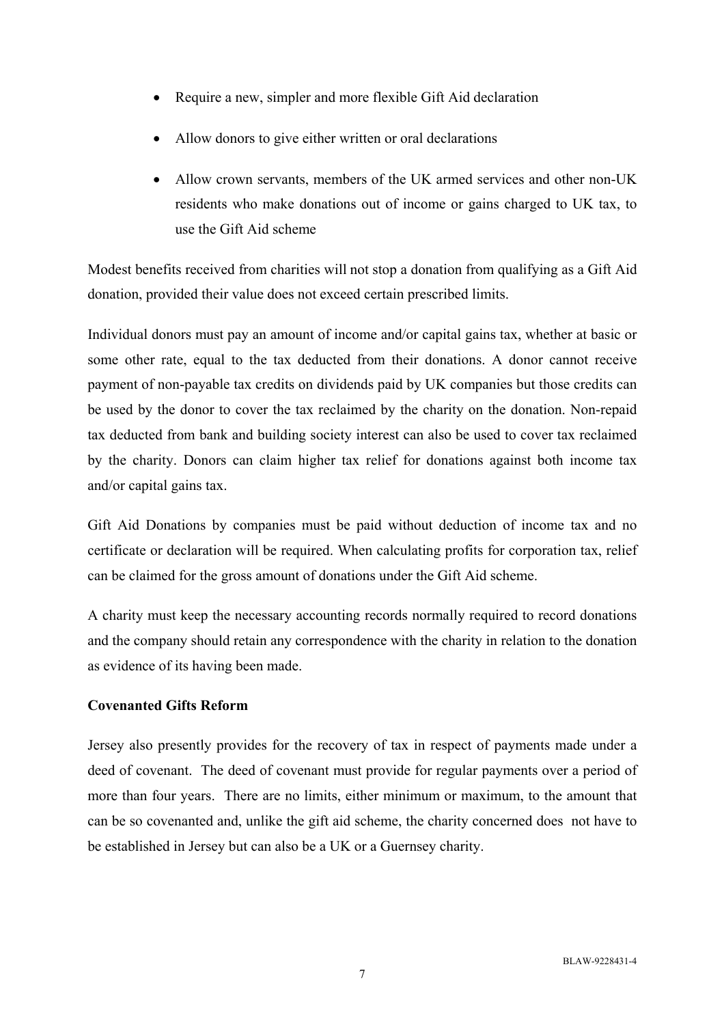- Require a new, simpler and more flexible Gift Aid declaration
- Allow donors to give either written or oral declarations
- Allow crown servants, members of the UK armed services and other non-UK residents who make donations out of income or gains charged to UK tax, to use the Gift Aid scheme

Modest benefits received from charities will not stop a donation from qualifying as a Gift Aid donation, provided their value does not exceed certain prescribed limits.

Individual donors must pay an amount of income and/or capital gains tax, whether at basic or some other rate, equal to the tax deducted from their donations. A donor cannot receive payment of non-payable tax credits on dividends paid by UK companies but those credits can be used by the donor to cover the tax reclaimed by the charity on the donation. Non-repaid tax deducted from bank and building society interest can also be used to cover tax reclaimed by the charity. Donors can claim higher tax relief for donations against both income tax and/or capital gains tax.

Gift Aid Donations by companies must be paid without deduction of income tax and no certificate or declaration will be required. When calculating profits for corporation tax, relief can be claimed for the gross amount of donations under the Gift Aid scheme.

A charity must keep the necessary accounting records normally required to record donations and the company should retain any correspondence with the charity in relation to the donation as evidence of its having been made.

### **Covenanted Gifts Reform**

Jersey also presently provides for the recovery of tax in respect of payments made under a deed of covenant. The deed of covenant must provide for regular payments over a period of more than four years. There are no limits, either minimum or maximum, to the amount that can be so covenanted and, unlike the gift aid scheme, the charity concerned does not have to be established in Jersey but can also be a UK or a Guernsey charity.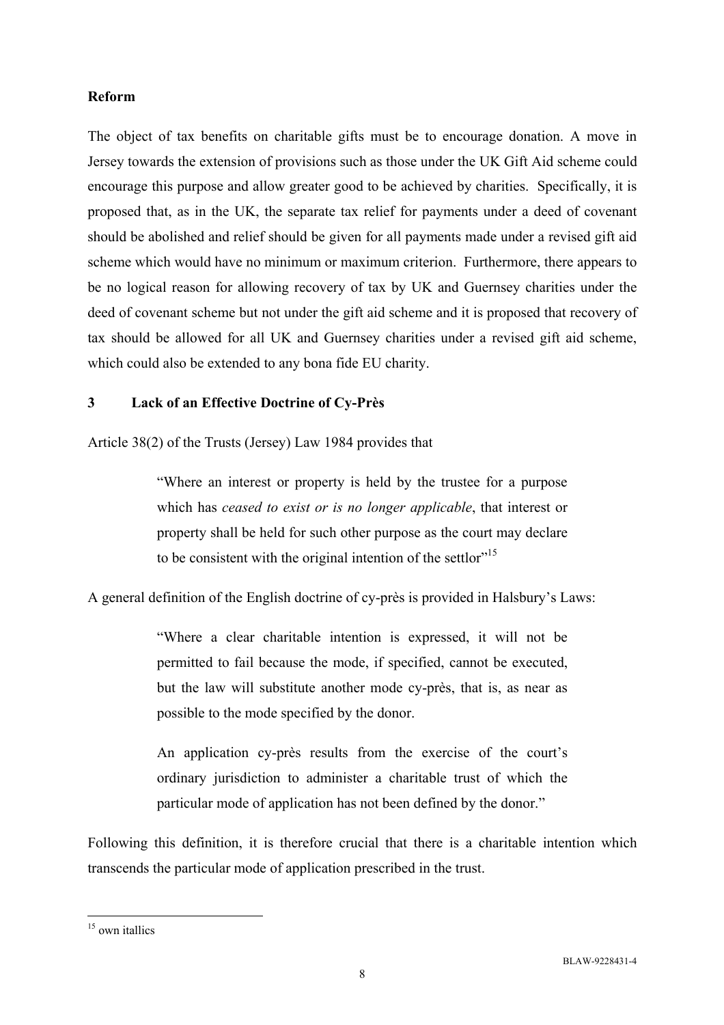#### **Reform**

The object of tax benefits on charitable gifts must be to encourage donation. A move in Jersey towards the extension of provisions such as those under the UK Gift Aid scheme could encourage this purpose and allow greater good to be achieved by charities. Specifically, it is proposed that, as in the UK, the separate tax relief for payments under a deed of covenant should be abolished and relief should be given for all payments made under a revised gift aid scheme which would have no minimum or maximum criterion. Furthermore, there appears to be no logical reason for allowing recovery of tax by UK and Guernsey charities under the deed of covenant scheme but not under the gift aid scheme and it is proposed that recovery of tax should be allowed for all UK and Guernsey charities under a revised gift aid scheme, which could also be extended to any bona fide EU charity.

### **3 Lack of an Effective Doctrine of Cy-Près**

Article 38(2) of the Trusts (Jersey) Law 1984 provides that

"Where an interest or property is held by the trustee for a purpose which has *ceased to exist or is no longer applicable*, that interest or property shall be held for such other purpose as the court may declare to be consistent with the original intention of the settlor<sup>"15</sup>

A general definition of the English doctrine of cy-près is provided in Halsbury's Laws:

"Where a clear charitable intention is expressed, it will not be permitted to fail because the mode, if specified, cannot be executed, but the law will substitute another mode cy-près, that is, as near as possible to the mode specified by the donor.

An application cy-près results from the exercise of the court's ordinary jurisdiction to administer a charitable trust of which the particular mode of application has not been defined by the donor."

Following this definition, it is therefore crucial that there is a charitable intention which transcends the particular mode of application prescribed in the trust.

 $\overline{a}$ <sup>15</sup> own itallics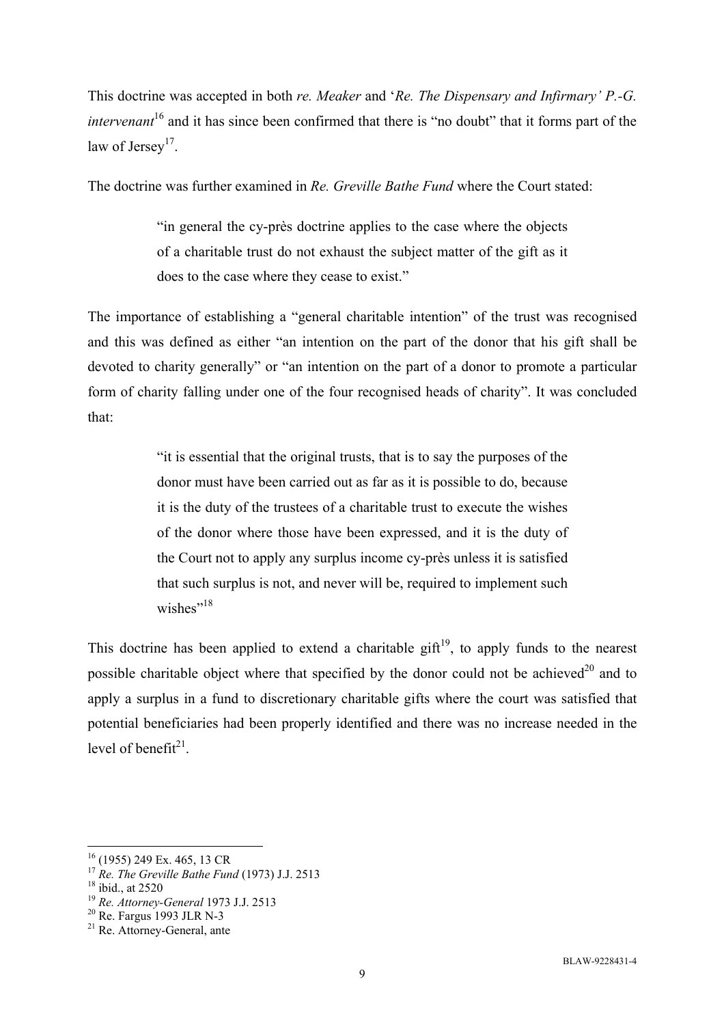This doctrine was accepted in both *re. Meaker* and '*Re. The Dispensary and Infirmary' P.-G. intervenant*<sup>16</sup> and it has since been confirmed that there is "no doubt" that it forms part of the law of Jersey<sup>17</sup>.

The doctrine was further examined in *Re. Greville Bathe Fund* where the Court stated:

"in general the cy-près doctrine applies to the case where the objects of a charitable trust do not exhaust the subject matter of the gift as it does to the case where they cease to exist."

The importance of establishing a "general charitable intention" of the trust was recognised and this was defined as either "an intention on the part of the donor that his gift shall be devoted to charity generally" or "an intention on the part of a donor to promote a particular form of charity falling under one of the four recognised heads of charity". It was concluded that:

> "it is essential that the original trusts, that is to say the purposes of the donor must have been carried out as far as it is possible to do, because it is the duty of the trustees of a charitable trust to execute the wishes of the donor where those have been expressed, and it is the duty of the Court not to apply any surplus income cy-près unless it is satisfied that such surplus is not, and never will be, required to implement such wishes"<sup>18</sup>

This doctrine has been applied to extend a charitable gift<sup>19</sup>, to apply funds to the nearest possible charitable object where that specified by the donor could not be achieved $^{20}$  and to apply a surplus in a fund to discretionary charitable gifts where the court was satisfied that potential beneficiaries had been properly identified and there was no increase needed in the level of benefit $21$ .

<sup>16 (1955) 249</sup> Ex. 465, 13 CR

<sup>&</sup>lt;sup>17</sup> *Re. The Greville Bathe Fund* (1973) J.J. 2513<br><sup>18</sup> ibid., at 2520

<sup>&</sup>lt;sup>19</sup> *Re. Attorney-General* 1973 J.J. 2513<br><sup>20</sup> Re. Fargus 1993 JLR N-3

 $21$  Re. Attorney-General, ante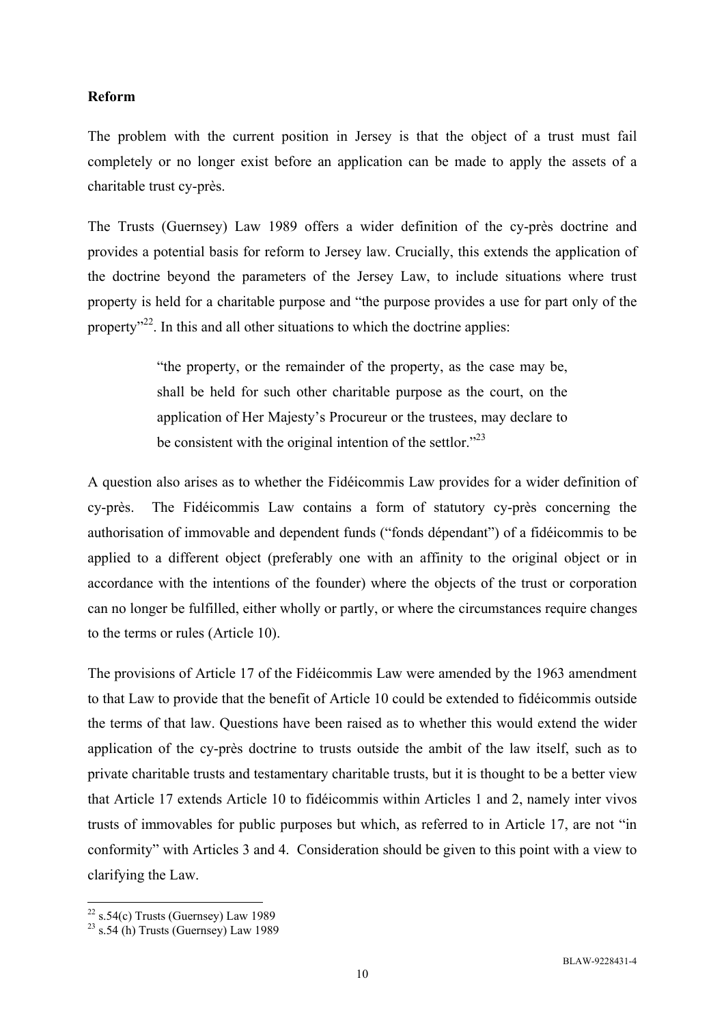#### **Reform**

The problem with the current position in Jersey is that the object of a trust must fail completely or no longer exist before an application can be made to apply the assets of a charitable trust cy-près.

The Trusts (Guernsey) Law 1989 offers a wider definition of the cy-près doctrine and provides a potential basis for reform to Jersey law. Crucially, this extends the application of the doctrine beyond the parameters of the Jersey Law, to include situations where trust property is held for a charitable purpose and "the purpose provides a use for part only of the property<sup>32</sup>. In this and all other situations to which the doctrine applies:

> "the property, or the remainder of the property, as the case may be, shall be held for such other charitable purpose as the court, on the application of Her Majesty's Procureur or the trustees, may declare to be consistent with the original intention of the settlor."<sup>23</sup>

A question also arises as to whether the Fidéicommis Law provides for a wider definition of cy-près. The Fidéicommis Law contains a form of statutory cy-près concerning the authorisation of immovable and dependent funds ("fonds dépendant") of a fidéicommis to be applied to a different object (preferably one with an affinity to the original object or in accordance with the intentions of the founder) where the objects of the trust or corporation can no longer be fulfilled, either wholly or partly, or where the circumstances require changes to the terms or rules (Article 10).

The provisions of Article 17 of the Fidéicommis Law were amended by the 1963 amendment to that Law to provide that the benefit of Article 10 could be extended to fidéicommis outside the terms of that law. Questions have been raised as to whether this would extend the wider application of the cy-près doctrine to trusts outside the ambit of the law itself, such as to private charitable trusts and testamentary charitable trusts, but it is thought to be a better view that Article 17 extends Article 10 to fidéicommis within Articles 1 and 2, namely inter vivos trusts of immovables for public purposes but which, as referred to in Article 17, are not "in conformity" with Articles 3 and 4. Consideration should be given to this point with a view to clarifying the Law.

 $22$  s.54(c) Trusts (Guernsey) Law 1989

 $23$  s.54 (h) Trusts (Guernsey) Law 1989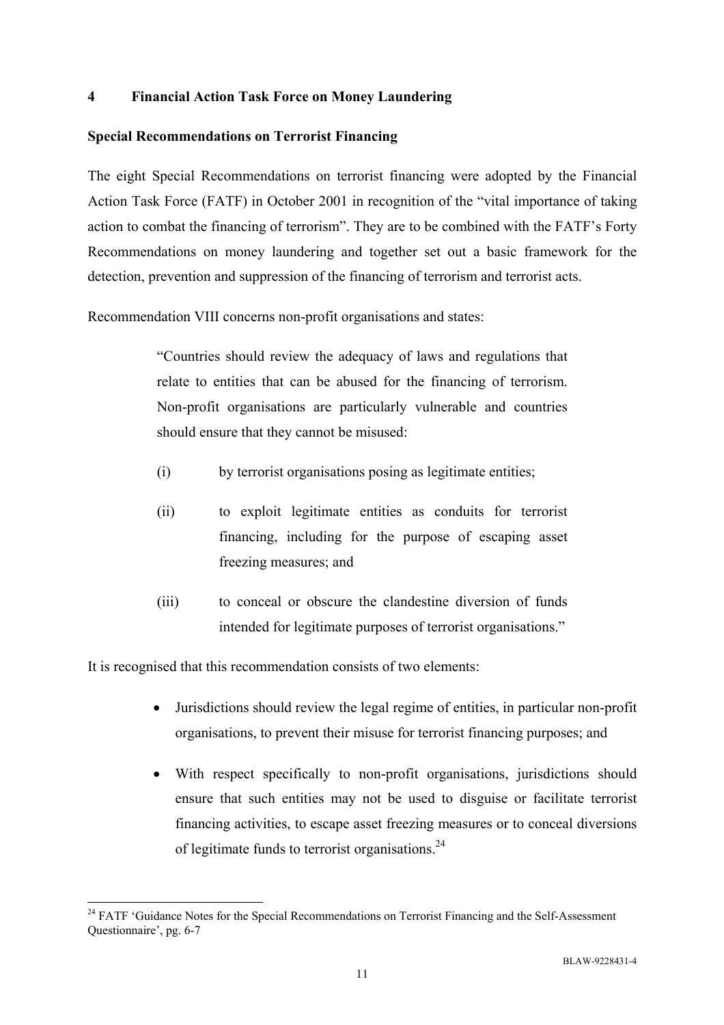### **4 Financial Action Task Force on Money Laundering**

### **Special Recommendations on Terrorist Financing**

The eight Special Recommendations on terrorist financing were adopted by the Financial Action Task Force (FATF) in October 2001 in recognition of the "vital importance of taking action to combat the financing of terrorism". They are to be combined with the FATF's Forty Recommendations on money laundering and together set out a basic framework for the detection, prevention and suppression of the financing of terrorism and terrorist acts.

Recommendation VIII concerns non-profit organisations and states:

"Countries should review the adequacy of laws and regulations that relate to entities that can be abused for the financing of terrorism. Non-profit organisations are particularly vulnerable and countries should ensure that they cannot be misused:

- (i) by terrorist organisations posing as legitimate entities;
- (ii) to exploit legitimate entities as conduits for terrorist financing, including for the purpose of escaping asset freezing measures; and
- (iii) to conceal or obscure the clandestine diversion of funds intended for legitimate purposes of terrorist organisations."

It is recognised that this recommendation consists of two elements:

- Jurisdictions should review the legal regime of entities, in particular non-profit organisations, to prevent their misuse for terrorist financing purposes; and
- With respect specifically to non-profit organisations, jurisdictions should ensure that such entities may not be used to disguise or facilitate terrorist financing activities, to escape asset freezing measures or to conceal diversions of legitimate funds to terrorist organisations.24

<sup>&</sup>lt;sup>24</sup> FATF 'Guidance Notes for the Special Recommendations on Terrorist Financing and the Self-Assessment Questionnaire', pg. 6-7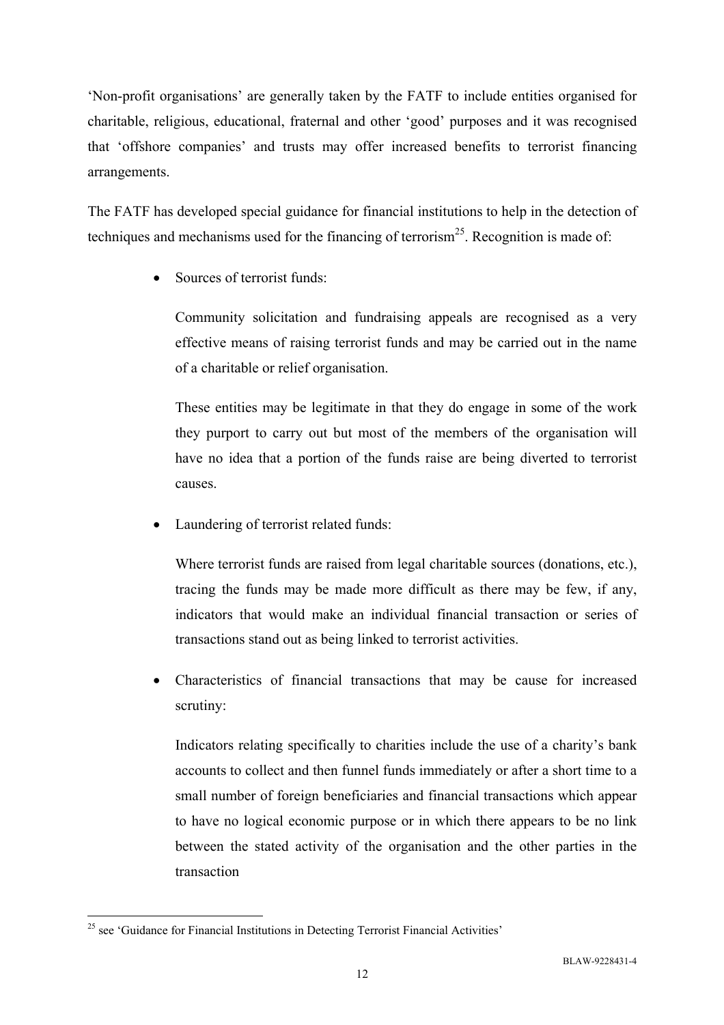'Non-profit organisations' are generally taken by the FATF to include entities organised for charitable, religious, educational, fraternal and other 'good' purposes and it was recognised that 'offshore companies' and trusts may offer increased benefits to terrorist financing arrangements.

The FATF has developed special guidance for financial institutions to help in the detection of techniques and mechanisms used for the financing of terrorism<sup>25</sup>. Recognition is made of:

Sources of terrorist funds:

Community solicitation and fundraising appeals are recognised as a very effective means of raising terrorist funds and may be carried out in the name of a charitable or relief organisation.

These entities may be legitimate in that they do engage in some of the work they purport to carry out but most of the members of the organisation will have no idea that a portion of the funds raise are being diverted to terrorist causes.

Laundering of terrorist related funds:

Where terrorist funds are raised from legal charitable sources (donations, etc.), tracing the funds may be made more difficult as there may be few, if any, indicators that would make an individual financial transaction or series of transactions stand out as being linked to terrorist activities.

• Characteristics of financial transactions that may be cause for increased scrutiny:

Indicators relating specifically to charities include the use of a charity's bank accounts to collect and then funnel funds immediately or after a short time to a small number of foreign beneficiaries and financial transactions which appear to have no logical economic purpose or in which there appears to be no link between the stated activity of the organisation and the other parties in the transaction

 $25$  see 'Guidance for Financial Institutions in Detecting Terrorist Financial Activities'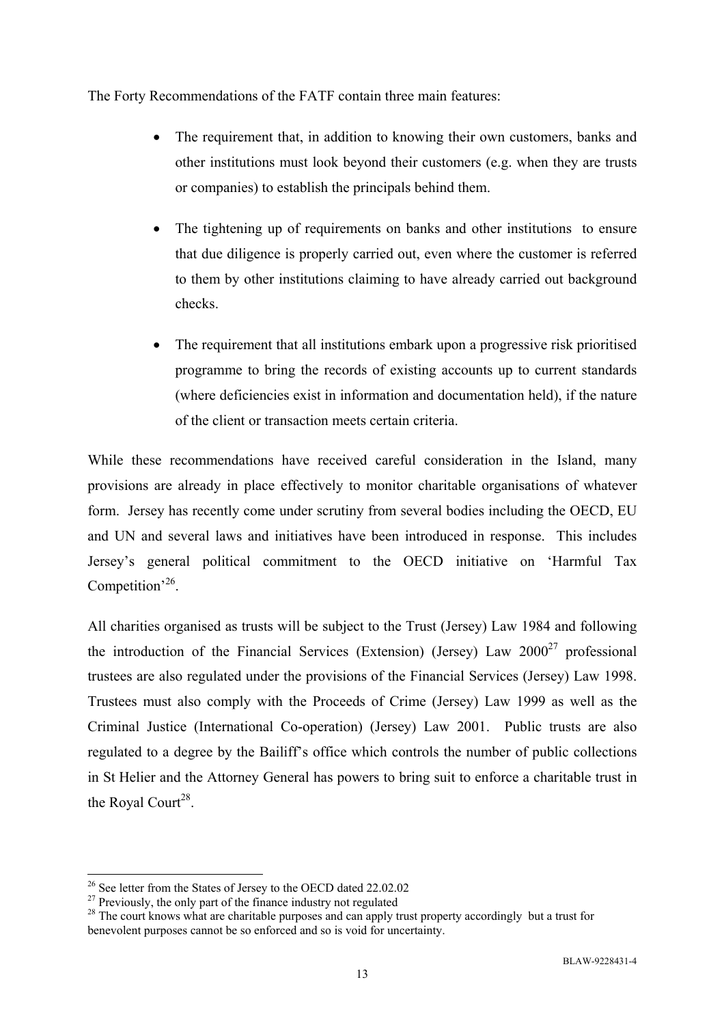The Forty Recommendations of the FATF contain three main features:

- The requirement that, in addition to knowing their own customers, banks and other institutions must look beyond their customers (e.g. when they are trusts or companies) to establish the principals behind them.
- The tightening up of requirements on banks and other institutions to ensure that due diligence is properly carried out, even where the customer is referred to them by other institutions claiming to have already carried out background checks.
- The requirement that all institutions embark upon a progressive risk prioritised programme to bring the records of existing accounts up to current standards (where deficiencies exist in information and documentation held), if the nature of the client or transaction meets certain criteria.

While these recommendations have received careful consideration in the Island, many provisions are already in place effectively to monitor charitable organisations of whatever form. Jersey has recently come under scrutiny from several bodies including the OECD, EU and UN and several laws and initiatives have been introduced in response. This includes Jersey's general political commitment to the OECD initiative on 'Harmful Tax Competition<sup>,26</sup>.

All charities organised as trusts will be subject to the Trust (Jersey) Law 1984 and following the introduction of the Financial Services (Extension) (Jersey) Law  $2000^{27}$  professional trustees are also regulated under the provisions of the Financial Services (Jersey) Law 1998. Trustees must also comply with the Proceeds of Crime (Jersey) Law 1999 as well as the Criminal Justice (International Co-operation) (Jersey) Law 2001. Public trusts are also regulated to a degree by the Bailiff's office which controls the number of public collections in St Helier and the Attorney General has powers to bring suit to enforce a charitable trust in the Royal Court<sup>28</sup>.

<sup>&</sup>lt;sup>26</sup> See letter from the States of Jersey to the OECD dated 22.02.02

<sup>&</sup>lt;sup>27</sup> Previously, the only part of the finance industry not regulated

<sup>&</sup>lt;sup>28</sup> The court knows what are charitable purposes and can apply trust property accordingly but a trust for benevolent purposes cannot be so enforced and so is void for uncertainty.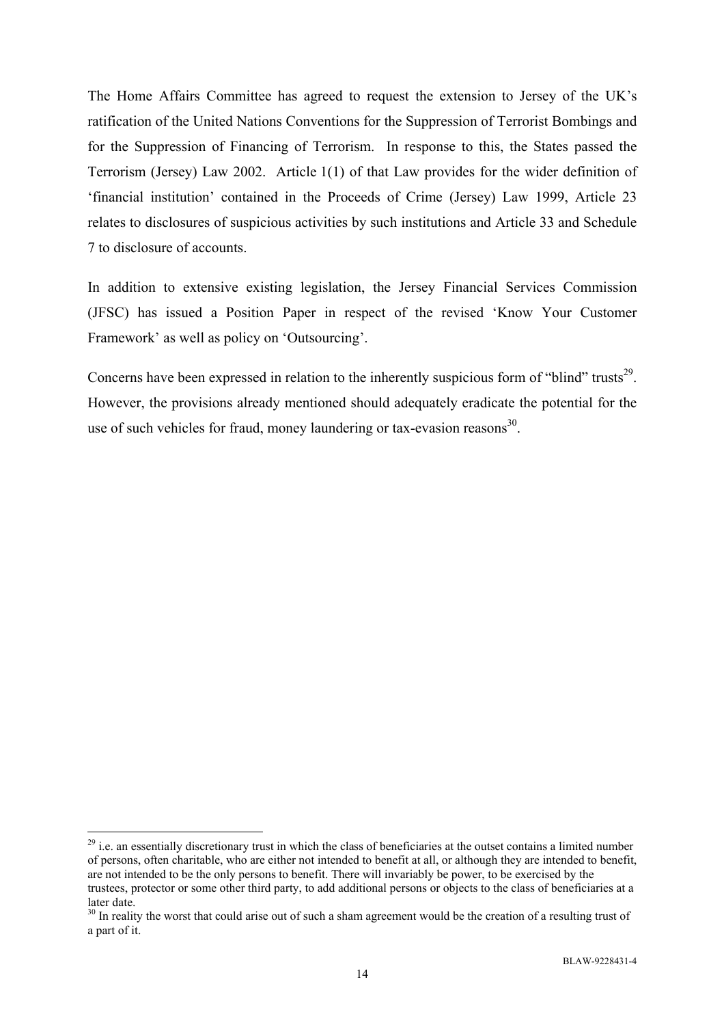The Home Affairs Committee has agreed to request the extension to Jersey of the UK's ratification of the United Nations Conventions for the Suppression of Terrorist Bombings and for the Suppression of Financing of Terrorism. In response to this, the States passed the Terrorism (Jersey) Law 2002. Article 1(1) of that Law provides for the wider definition of 'financial institution' contained in the Proceeds of Crime (Jersey) Law 1999, Article 23 relates to disclosures of suspicious activities by such institutions and Article 33 and Schedule 7 to disclosure of accounts.

In addition to extensive existing legislation, the Jersey Financial Services Commission (JFSC) has issued a Position Paper in respect of the revised 'Know Your Customer Framework' as well as policy on 'Outsourcing'.

Concerns have been expressed in relation to the inherently suspicious form of "blind" trusts<sup>29</sup>. However, the provisions already mentioned should adequately eradicate the potential for the use of such vehicles for fraud, money laundering or tax-evasion reasons $^{30}$ .

 $29$  i.e. an essentially discretionary trust in which the class of beneficiaries at the outset contains a limited number of persons, often charitable, who are either not intended to benefit at all, or although they are intended to benefit, are not intended to be the only persons to benefit. There will invariably be power, to be exercised by the trustees, protector or some other third party, to add additional persons or objects to the class of beneficiaries at a later date.

<sup>&</sup>lt;sup>30</sup> In reality the worst that could arise out of such a sham agreement would be the creation of a resulting trust of a part of it.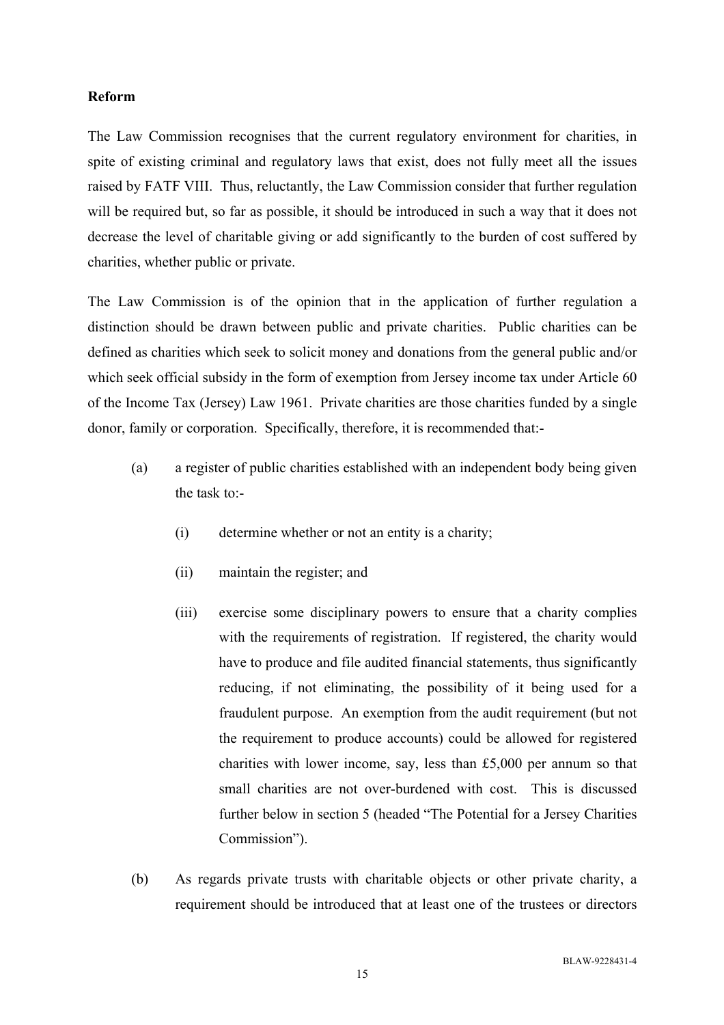#### **Reform**

The Law Commission recognises that the current regulatory environment for charities, in spite of existing criminal and regulatory laws that exist, does not fully meet all the issues raised by FATF VIII. Thus, reluctantly, the Law Commission consider that further regulation will be required but, so far as possible, it should be introduced in such a way that it does not decrease the level of charitable giving or add significantly to the burden of cost suffered by charities, whether public or private.

The Law Commission is of the opinion that in the application of further regulation a distinction should be drawn between public and private charities. Public charities can be defined as charities which seek to solicit money and donations from the general public and/or which seek official subsidy in the form of exemption from Jersey income tax under Article 60 of the Income Tax (Jersey) Law 1961. Private charities are those charities funded by a single donor, family or corporation. Specifically, therefore, it is recommended that:-

- (a) a register of public charities established with an independent body being given the task to:-
	- (i) determine whether or not an entity is a charity;
	- (ii) maintain the register; and
	- (iii) exercise some disciplinary powers to ensure that a charity complies with the requirements of registration. If registered, the charity would have to produce and file audited financial statements, thus significantly reducing, if not eliminating, the possibility of it being used for a fraudulent purpose. An exemption from the audit requirement (but not the requirement to produce accounts) could be allowed for registered charities with lower income, say, less than £5,000 per annum so that small charities are not over-burdened with cost. This is discussed further below in section 5 (headed "The Potential for a Jersey Charities Commission").
- (b) As regards private trusts with charitable objects or other private charity, a requirement should be introduced that at least one of the trustees or directors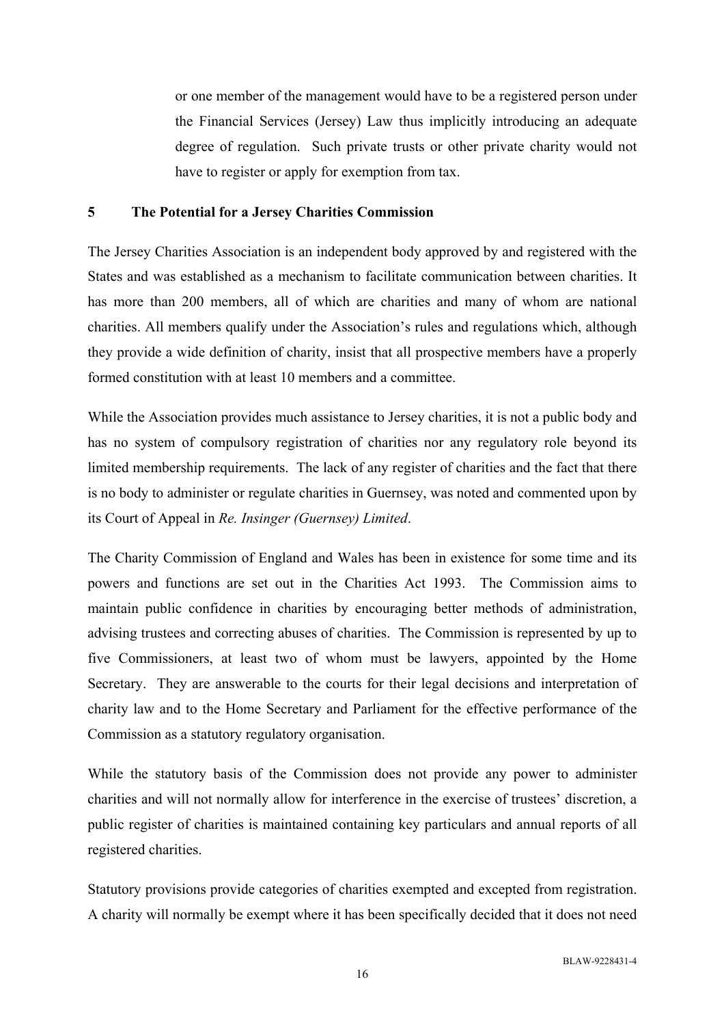or one member of the management would have to be a registered person under the Financial Services (Jersey) Law thus implicitly introducing an adequate degree of regulation. Such private trusts or other private charity would not have to register or apply for exemption from tax.

#### **5 The Potential for a Jersey Charities Commission**

The Jersey Charities Association is an independent body approved by and registered with the States and was established as a mechanism to facilitate communication between charities. It has more than 200 members, all of which are charities and many of whom are national charities. All members qualify under the Association's rules and regulations which, although they provide a wide definition of charity, insist that all prospective members have a properly formed constitution with at least 10 members and a committee.

While the Association provides much assistance to Jersey charities, it is not a public body and has no system of compulsory registration of charities nor any regulatory role beyond its limited membership requirements. The lack of any register of charities and the fact that there is no body to administer or regulate charities in Guernsey, was noted and commented upon by its Court of Appeal in *Re. Insinger (Guernsey) Limited*.

The Charity Commission of England and Wales has been in existence for some time and its powers and functions are set out in the Charities Act 1993. The Commission aims to maintain public confidence in charities by encouraging better methods of administration, advising trustees and correcting abuses of charities. The Commission is represented by up to five Commissioners, at least two of whom must be lawyers, appointed by the Home Secretary. They are answerable to the courts for their legal decisions and interpretation of charity law and to the Home Secretary and Parliament for the effective performance of the Commission as a statutory regulatory organisation.

While the statutory basis of the Commission does not provide any power to administer charities and will not normally allow for interference in the exercise of trustees' discretion, a public register of charities is maintained containing key particulars and annual reports of all registered charities.

Statutory provisions provide categories of charities exempted and excepted from registration. A charity will normally be exempt where it has been specifically decided that it does not need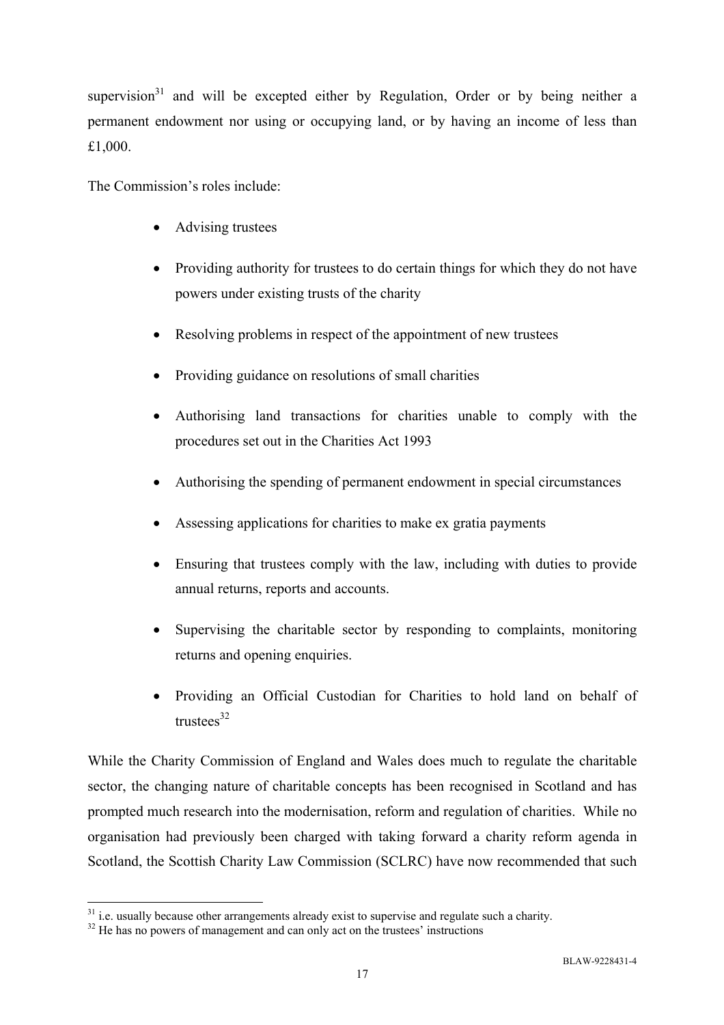supervision $31$  and will be excepted either by Regulation, Order or by being neither a permanent endowment nor using or occupying land, or by having an income of less than £1,000.

The Commission's roles include:

- Advising trustees
- Providing authority for trustees to do certain things for which they do not have powers under existing trusts of the charity
- Resolving problems in respect of the appointment of new trustees
- Providing guidance on resolutions of small charities
- Authorising land transactions for charities unable to comply with the procedures set out in the Charities Act 1993
- Authorising the spending of permanent endowment in special circumstances
- Assessing applications for charities to make ex gratia payments
- Ensuring that trustees comply with the law, including with duties to provide annual returns, reports and accounts.
- Supervising the charitable sector by responding to complaints, monitoring returns and opening enquiries.
- Providing an Official Custodian for Charities to hold land on behalf of  $tnustees<sup>32</sup>$

While the Charity Commission of England and Wales does much to regulate the charitable sector, the changing nature of charitable concepts has been recognised in Scotland and has prompted much research into the modernisation, reform and regulation of charities. While no organisation had previously been charged with taking forward a charity reform agenda in Scotland, the Scottish Charity Law Commission (SCLRC) have now recommended that such

 $31$  i.e. usually because other arrangements already exist to supervise and regulate such a charity.

 $32$  He has no powers of management and can only act on the trustees' instructions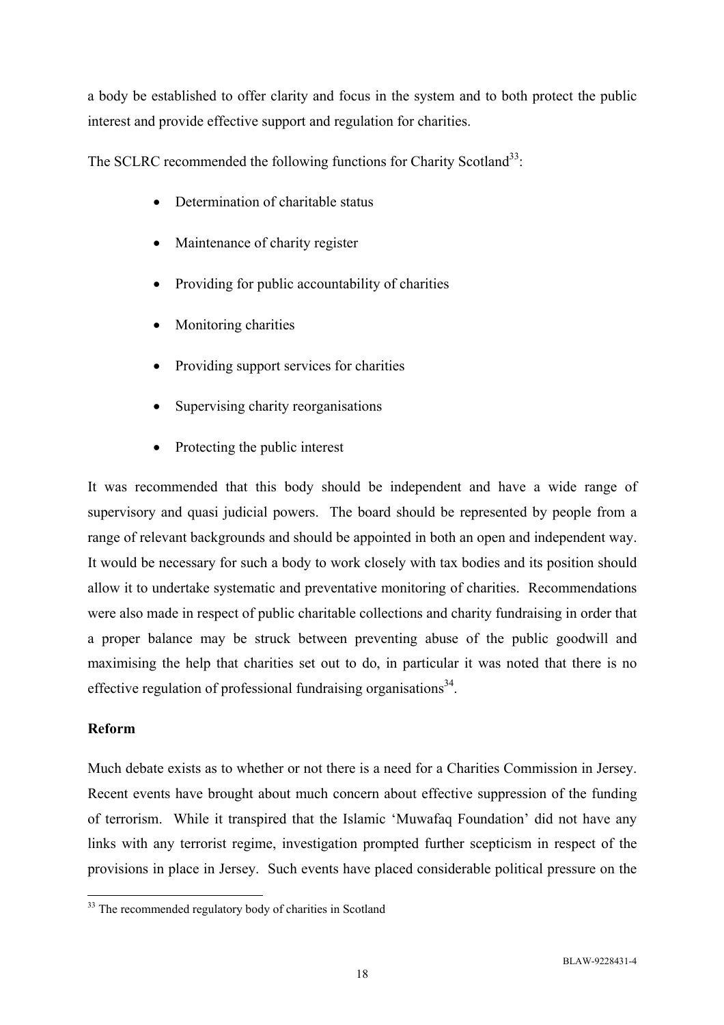a body be established to offer clarity and focus in the system and to both protect the public interest and provide effective support and regulation for charities.

The SCLRC recommended the following functions for Charity Scotland<sup>33</sup>:

- Determination of charitable status
- Maintenance of charity register
- Providing for public accountability of charities
- Monitoring charities
- Providing support services for charities
- Supervising charity reorganisations
- Protecting the public interest

It was recommended that this body should be independent and have a wide range of supervisory and quasi judicial powers. The board should be represented by people from a range of relevant backgrounds and should be appointed in both an open and independent way. It would be necessary for such a body to work closely with tax bodies and its position should allow it to undertake systematic and preventative monitoring of charities. Recommendations were also made in respect of public charitable collections and charity fundraising in order that a proper balance may be struck between preventing abuse of the public goodwill and maximising the help that charities set out to do, in particular it was noted that there is no effective regulation of professional fundraising organisations<sup>34</sup>.

### **Reform**

Much debate exists as to whether or not there is a need for a Charities Commission in Jersey. Recent events have brought about much concern about effective suppression of the funding of terrorism. While it transpired that the Islamic 'Muwafaq Foundation' did not have any links with any terrorist regime, investigation prompted further scepticism in respect of the provisions in place in Jersey. Such events have placed considerable political pressure on the

 $\overline{a}$ <sup>33</sup> The recommended regulatory body of charities in Scotland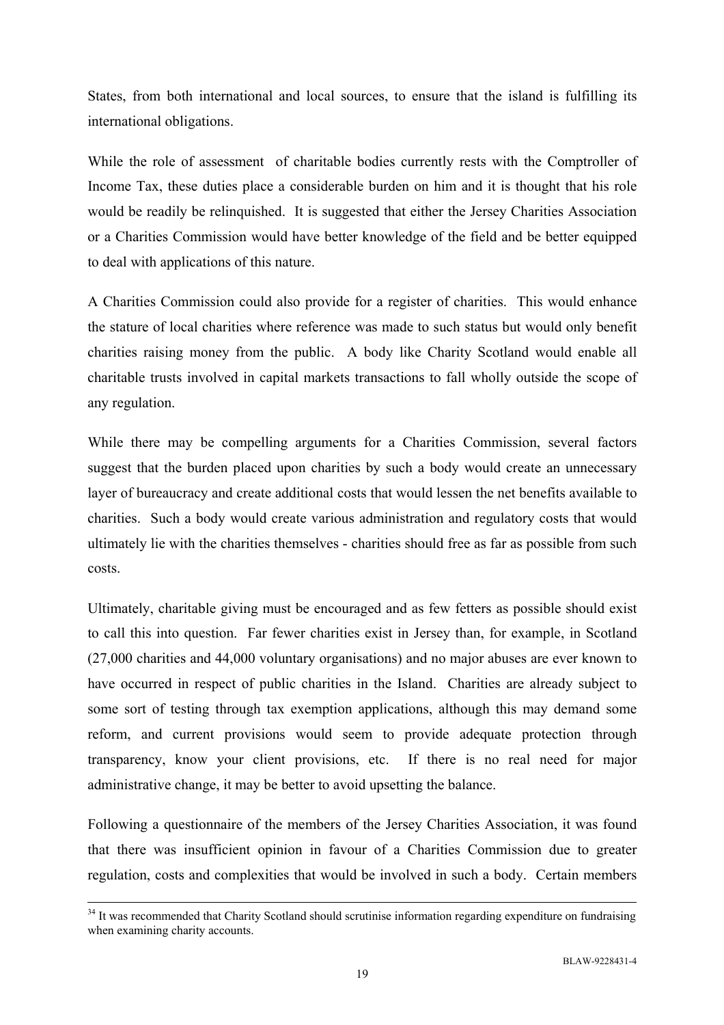States, from both international and local sources, to ensure that the island is fulfilling its international obligations.

While the role of assessment of charitable bodies currently rests with the Comptroller of Income Tax, these duties place a considerable burden on him and it is thought that his role would be readily be relinquished. It is suggested that either the Jersey Charities Association or a Charities Commission would have better knowledge of the field and be better equipped to deal with applications of this nature.

A Charities Commission could also provide for a register of charities. This would enhance the stature of local charities where reference was made to such status but would only benefit charities raising money from the public. A body like Charity Scotland would enable all charitable trusts involved in capital markets transactions to fall wholly outside the scope of any regulation.

While there may be compelling arguments for a Charities Commission, several factors suggest that the burden placed upon charities by such a body would create an unnecessary layer of bureaucracy and create additional costs that would lessen the net benefits available to charities. Such a body would create various administration and regulatory costs that would ultimately lie with the charities themselves - charities should free as far as possible from such costs.

Ultimately, charitable giving must be encouraged and as few fetters as possible should exist to call this into question. Far fewer charities exist in Jersey than, for example, in Scotland (27,000 charities and 44,000 voluntary organisations) and no major abuses are ever known to have occurred in respect of public charities in the Island. Charities are already subject to some sort of testing through tax exemption applications, although this may demand some reform, and current provisions would seem to provide adequate protection through transparency, know your client provisions, etc. If there is no real need for major administrative change, it may be better to avoid upsetting the balance.

Following a questionnaire of the members of the Jersey Charities Association, it was found that there was insufficient opinion in favour of a Charities Commission due to greater regulation, costs and complexities that would be involved in such a body. Certain members

<sup>&</sup>lt;sup>34</sup> It was recommended that Charity Scotland should scrutinise information regarding expenditure on fundraising when examining charity accounts.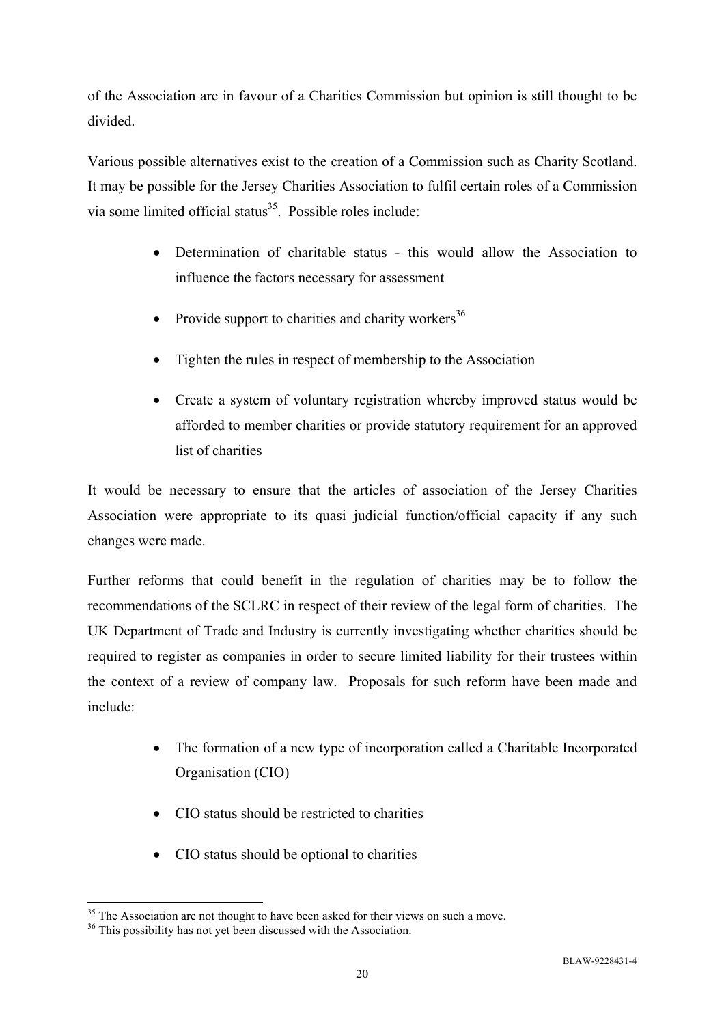of the Association are in favour of a Charities Commission but opinion is still thought to be divided.

Various possible alternatives exist to the creation of a Commission such as Charity Scotland. It may be possible for the Jersey Charities Association to fulfil certain roles of a Commission via some limited official status<sup>35</sup>. Possible roles include:

- Determination of charitable status this would allow the Association to influence the factors necessary for assessment
- Provide support to charities and charity workers<sup>36</sup>
- Tighten the rules in respect of membership to the Association
- Create a system of voluntary registration whereby improved status would be afforded to member charities or provide statutory requirement for an approved list of charities

It would be necessary to ensure that the articles of association of the Jersey Charities Association were appropriate to its quasi judicial function/official capacity if any such changes were made.

Further reforms that could benefit in the regulation of charities may be to follow the recommendations of the SCLRC in respect of their review of the legal form of charities. The UK Department of Trade and Industry is currently investigating whether charities should be required to register as companies in order to secure limited liability for their trustees within the context of a review of company law. Proposals for such reform have been made and include:

- The formation of a new type of incorporation called a Charitable Incorporated Organisation (CIO)
- CIO status should be restricted to charities
- CIO status should be optional to charities

 $\overline{a}$ <sup>35</sup> The Association are not thought to have been asked for their views on such a move.

<sup>&</sup>lt;sup>36</sup> This possibility has not yet been discussed with the Association.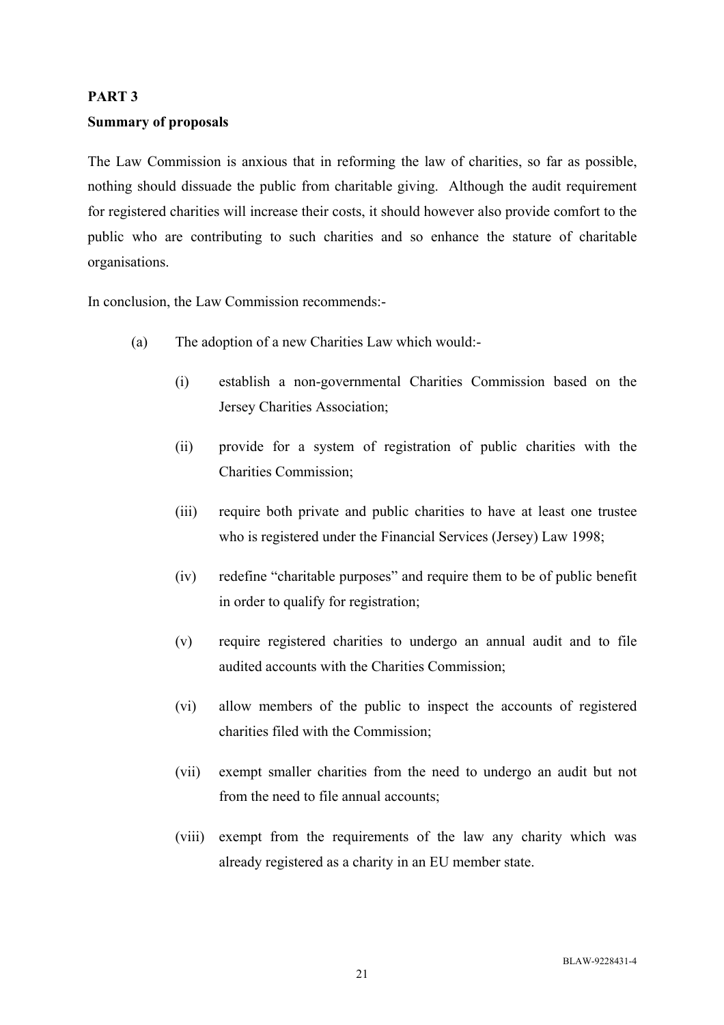### **PART 3**

### **Summary of proposals**

The Law Commission is anxious that in reforming the law of charities, so far as possible, nothing should dissuade the public from charitable giving. Although the audit requirement for registered charities will increase their costs, it should however also provide comfort to the public who are contributing to such charities and so enhance the stature of charitable organisations.

In conclusion, the Law Commission recommends:-

- (a) The adoption of a new Charities Law which would:-
	- (i) establish a non-governmental Charities Commission based on the Jersey Charities Association;
	- (ii) provide for a system of registration of public charities with the Charities Commission;
	- (iii) require both private and public charities to have at least one trustee who is registered under the Financial Services (Jersey) Law 1998;
	- (iv) redefine "charitable purposes" and require them to be of public benefit in order to qualify for registration;
	- (v) require registered charities to undergo an annual audit and to file audited accounts with the Charities Commission;
	- (vi) allow members of the public to inspect the accounts of registered charities filed with the Commission;
	- (vii) exempt smaller charities from the need to undergo an audit but not from the need to file annual accounts;
	- (viii) exempt from the requirements of the law any charity which was already registered as a charity in an EU member state.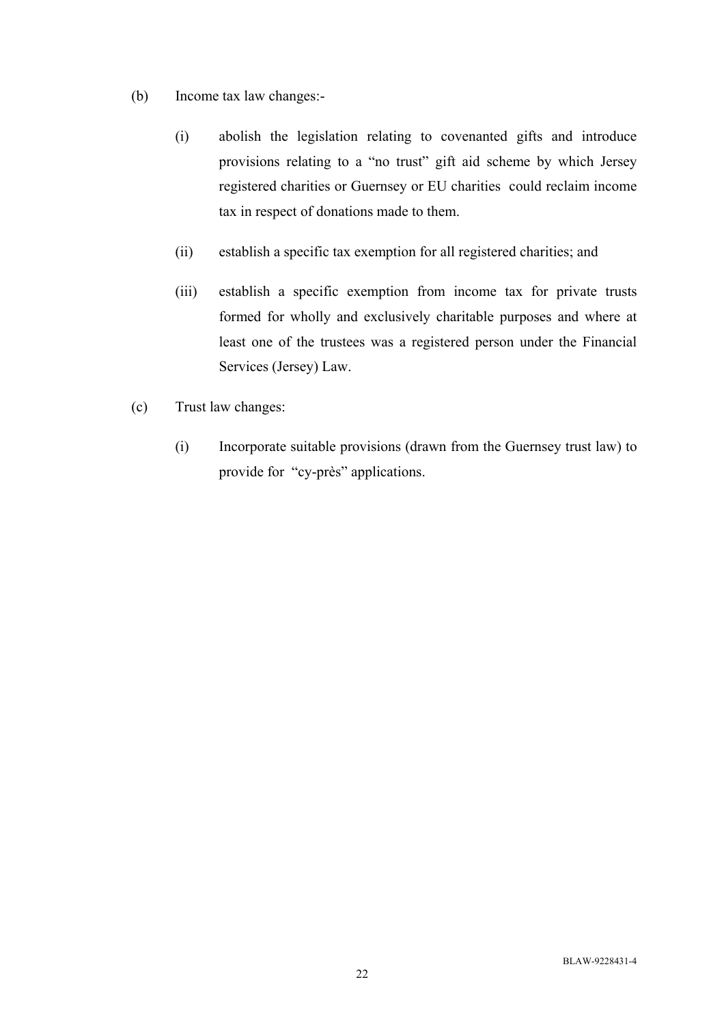- (b) Income tax law changes:-
	- (i) abolish the legislation relating to covenanted gifts and introduce provisions relating to a "no trust" gift aid scheme by which Jersey registered charities or Guernsey or EU charities could reclaim income tax in respect of donations made to them.
	- (ii) establish a specific tax exemption for all registered charities; and
	- (iii) establish a specific exemption from income tax for private trusts formed for wholly and exclusively charitable purposes and where at least one of the trustees was a registered person under the Financial Services (Jersey) Law.
- (c) Trust law changes:
	- (i) Incorporate suitable provisions (drawn from the Guernsey trust law) to provide for "cy-près" applications.